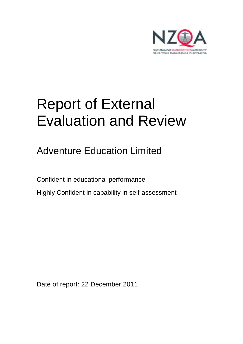

# Report of External Evaluation and Review

Adventure Education Limited

Confident in educational performance Highly Confident in capability in self-assessment

Date of report: 22 December 2011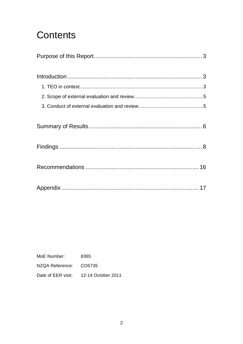## **Contents**

MoE Number: 8365 NZQA Reference: CO5735 Date of EER visit: 12-14 October 2011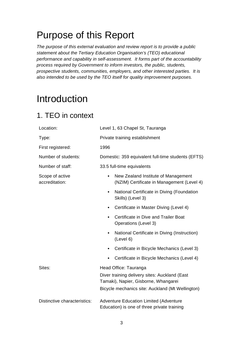## Purpose of this Report

The purpose of this external evaluation and review report is to provide a public statement about the Tertiary Education Organisation's (TEO) educational performance and capability in self-assessment. It forms part of the accountability process required by Government to inform investors, the public, students, prospective students, communities, employers, and other interested parties. It is also intended to be used by the TEO itself for quality improvement purposes.

## Introduction

### 1. TEO in context

| Location:                         | Level 1, 63 Chapel St, Tauranga                                                                |
|-----------------------------------|------------------------------------------------------------------------------------------------|
| Type:                             | Private training establishment                                                                 |
| First registered:                 | 1996                                                                                           |
| Number of students:               | Domestic: 359 equivalent full-time students (EFTS)                                             |
| Number of staff:                  | 33.5 full-time equivalents                                                                     |
| Scope of active<br>accreditation: | New Zealand Institute of Management<br>$\bullet$<br>(NZIM) Certificate in Management (Level 4) |
|                                   | National Certificate in Diving (Foundation<br>$\bullet$<br>Skills) (Level 3)                   |
|                                   | Certificate in Master Diving (Level 4)                                                         |
|                                   | Certificate in Dive and Trailer Boat<br>Operations (Level 3)                                   |
|                                   | National Certificate in Diving (Instruction)<br>$\bullet$<br>(Level 6)                         |
|                                   | Certificate in Bicycle Mechanics (Level 3)                                                     |
|                                   | Certificate in Bicycle Mechanics (Level 4)                                                     |
| Sites:                            | Head Office: Tauranga                                                                          |
|                                   | Diver training delivery sites: Auckland (East<br>Tamaki), Napier, Gisborne, Whangarei          |
|                                   | Bicycle mechanics site: Auckland (Mt Wellington)                                               |
| Distinctive characteristics:      | <b>Adventure Education Limited (Adventure</b><br>Education) is one of three private training   |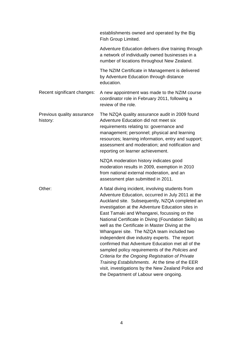|                                        | establishments owned and operated by the Big<br>Fish Group Limited.                                                                                                                                                                                                                                                                                                                                                                                                                                                                                                                                                                                                                                                                                                                    |
|----------------------------------------|----------------------------------------------------------------------------------------------------------------------------------------------------------------------------------------------------------------------------------------------------------------------------------------------------------------------------------------------------------------------------------------------------------------------------------------------------------------------------------------------------------------------------------------------------------------------------------------------------------------------------------------------------------------------------------------------------------------------------------------------------------------------------------------|
|                                        | Adventure Education delivers dive training through<br>a network of individually owned businesses in a<br>number of locations throughout New Zealand.                                                                                                                                                                                                                                                                                                                                                                                                                                                                                                                                                                                                                                   |
|                                        | The NZIM Certificate in Management is delivered<br>by Adventure Education through distance<br>education.                                                                                                                                                                                                                                                                                                                                                                                                                                                                                                                                                                                                                                                                               |
| Recent significant changes:            | A new appointment was made to the NZIM course<br>coordinator role in February 2011, following a<br>review of the role.                                                                                                                                                                                                                                                                                                                                                                                                                                                                                                                                                                                                                                                                 |
| Previous quality assurance<br>history: | The NZQA quality assurance audit in 2009 found<br>Adventure Education did not meet six<br>requirements relating to: governance and<br>management; personnel; physical and learning<br>resources; learning information, entry and support;<br>assessment and moderation; and notification and<br>reporting on learner achievement.                                                                                                                                                                                                                                                                                                                                                                                                                                                      |
|                                        | NZQA moderation history indicates good<br>moderation results in 2009, exemption in 2010<br>from national external moderation, and an<br>assessment plan submitted in 2011.                                                                                                                                                                                                                                                                                                                                                                                                                                                                                                                                                                                                             |
| Other:                                 | A fatal diving incident, involving students from<br>Adventure Education, occurred in July 2011 at the<br>Auckland site. Subsequently, NZQA completed an<br>investigation at the Adventure Education sites in<br>East Tamaki and Whangarei, focussing on the<br>National Certificate in Diving (Foundation Skills) as<br>well as the Certificate in Master Diving at the<br>Whangarei site. The NZQA team included two<br>independent dive industry experts. The report<br>confirmed that Adventure Education met all of the<br>sampled policy requirements of the Policies and<br>Criteria for the Ongoing Registration of Private<br>Training Establishments. At the time of the EER<br>visit, investigations by the New Zealand Police and<br>the Department of Labour were ongoing. |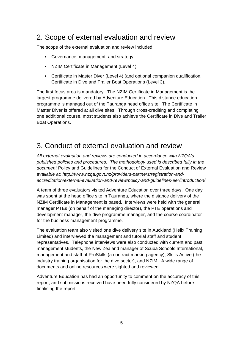### 2. Scope of external evaluation and review

The scope of the external evaluation and review included:

- Governance, management, and strategy
- NZIM Certificate in Management (Level 4)
- Certificate in Master Diver (Level 4) (and optional companion qualification, Certificate in Dive and Trailer Boat Operations (Level 3).

The first focus area is mandatory. The NZIM Certificate in Management is the largest programme delivered by Adventure Education. This distance education programme is managed out of the Tauranga head office site. The Certificate in Master Diver is offered at all dive sites. Through cross-crediting and completing one additional course, most students also achieve the Certificate in Dive and Trailer Boat Operations.

### 3. Conduct of external evaluation and review

All external evaluation and reviews are conducted in accordance with NZQA's published policies and procedures. The methodology used is described fully in the document Policy and Guidelines for the Conduct of External Evaluation and Review available at: http://www.nzqa.govt.nz/providers-partners/registration-andaccreditation/external-evaluation-and-review/policy-and-guidelines-eer/introduction/

A team of three evaluators visited Adventure Education over three days. One day was spent at the head office site in Tauranga, where the distance delivery of the NZIM Certificate in Management is based. Interviews were held with the general manager PTEs (on behalf of the managing director), the PTE operations and development manager, the dive programme manager, and the course coordinator for the business management programme.

The evaluation team also visited one dive delivery site in Auckland (Helix Training Limited) and interviewed the management and tutorial staff and student representatives. Telephone interviews were also conducted with current and past management students, the New Zealand manager of Scuba Schools International, management and staff of ProSkills (a contract marking agency), Skills Active (the industry training organisation for the dive sector), and NZIM. A wide range of documents and online resources were sighted and reviewed.

Adventure Education has had an opportunity to comment on the accuracy of this report, and submissions received have been fully considered by NZQA before finalising the report.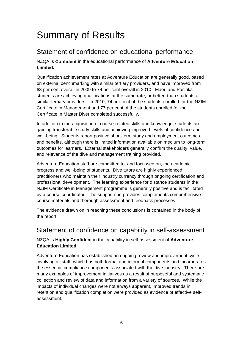## Summary of Results

### Statement of confidence on educational performance

NZQA is **Confident** in the educational performance of **Adventure Education Limited.**

Qualification achievement rates at Adventure Education are generally good, based on external benchmarking with similar tertiary providers, and have improved from 63 per cent overall in 2009 to 74 per cent overall in 2010. Māori and Pasifika students are achieving qualifications at the same rate, or better, than students at similar tertiary providers. In 2010, 74 per cent of the students enrolled for the NZIM Certificate in Management and 77 per cent of the students enrolled for the Certificate in Master Diver completed successfully.

In addition to the acquisition of course-related skills and knowledge, students are gaining transferable study skills and achieving improved levels of confidence and well-being. Students report positive short-term study and employment outcomes and benefits, although there is limited information available on medium to long-term outcomes for learners. External stakeholders generally confirm the quality, value, and relevance of the dive and management training provided.

Adventure Education staff are committed to, and focussed on, the academic progress and well-being of students. Dive tutors are highly experienced practitioners who maintain their industry currency through ongoing certification and professional development. The learning experience for distance students in the NZIM Certificate in Management programme is generally positive and is facilitated by a course coordinator. The support she provides complements comprehensive course materials and thorough assessment and feedback processes.

The evidence drawn on in reaching these conclusions is contained in the body of the report.

### Statement of confidence on capability in self-assessment

#### NZQA is **Highly Confident** in the capability in self-assessment of **Adventure Education Limited.**

Adventure Education has established an ongoing review and improvement cycle involving all staff, which has both formal and informal components and incorporates the essential compliance components associated with the dive industry. There are many examples of improvement initiatives as a result of purposeful and systematic collection and review of data and information from a variety of sources. While the impacts of individual changes were not always apparent, improved trends in retention and qualification completion were provided as evidence of effective selfassessment.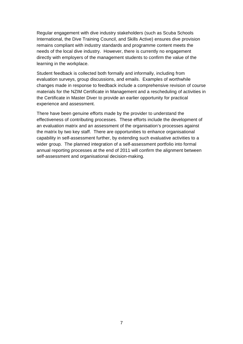Regular engagement with dive industry stakeholders (such as Scuba Schools International, the Dive Training Council, and Skills Active) ensures dive provision remains compliant with industry standards and programme content meets the needs of the local dive industry. However, there is currently no engagement directly with employers of the management students to confirm the value of the learning in the workplace.

Student feedback is collected both formally and informally, including from evaluation surveys, group discussions, and emails. Examples of worthwhile changes made in response to feedback include a comprehensive revision of course materials for the NZIM Certificate in Management and a rescheduling of activities in the Certificate in Master Diver to provide an earlier opportunity for practical experience and assessment.

There have been genuine efforts made by the provider to understand the effectiveness of contributing processes. These efforts include the development of an evaluation matrix and an assessment of the organisation's processes against the matrix by two key staff. There are opportunities to enhance organisational capability in self-assessment further, by extending such evaluative activities to a wider group. The planned integration of a self-assessment portfolio into formal annual reporting processes at the end of 2011 will confirm the alignment between self-assessment and organisational decision-making.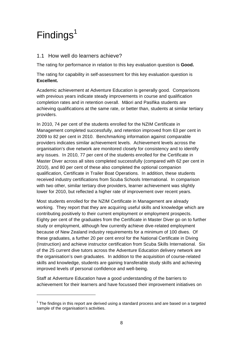## $Findings<sup>1</sup>$

 $\overline{a}$ 

#### 1.1 How well do learners achieve?

The rating for performance in relation to this key evaluation question is **Good.**

The rating for capability in self-assessment for this key evaluation question is **Excellent.**

Academic achievement at Adventure Education is generally good. Comparisons with previous years indicate steady improvements in course and qualification completion rates and in retention overall. Māori and Pasifika students are achieving qualifications at the same rate, or better than, students at similar tertiary providers.

In 2010, 74 per cent of the students enrolled for the NZIM Certificate in Management completed successfully, and retention improved from 63 per cent in 2009 to 82 per cent in 2010. Benchmarking information against comparable providers indicates similar achievement levels. Achievement levels across the organisation's dive network are monitored closely for consistency and to identify any issues. In 2010, 77 per cent of the students enrolled for the Certificate in Master Diver across all sites completed successfully (compared with 62 per cent in 2010), and 80 per cent of these also completed the optional companion qualification, Certificate in Trailer Boat Operations. In addition, these students received industry certifications from Scuba Schools International. In comparison with two other, similar tertiary dive providers, learner achievement was slightly lower for 2010, but reflected a higher rate of improvement over recent years.

Most students enrolled for the NZIM Certificate in Management are already working. They report that they are acquiring useful skills and knowledge which are contributing positively to their current employment or employment prospects. Eighty per cent of the graduates from the Certificate in Master Diver go on to further study or employment, although few currently achieve dive-related employment because of New Zealand industry requirements for a minimum of 100 dives. Of these graduates, a further 20 per cent enrol for the National Certificate in Diving (Instruction) and achieve instructor certification from Scuba Skills International. Six of the 25 current dive tutors across the Adventure Education delivery network are the organisation's own graduates. In addition to the acquisition of course-related skills and knowledge, students are gaining transferable study skills and achieving improved levels of personal confidence and well-being.

Staff at Adventure Education have a good understanding of the barriers to achievement for their learners and have focussed their improvement initiatives on

 $1$  The findings in this report are derived using a standard process and are based on a targeted sample of the organisation's activities.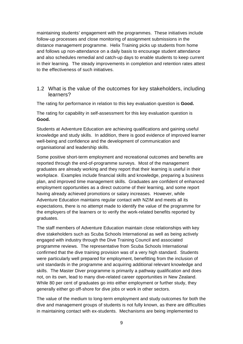maintaining students' engagement with the programmes. These initiatives include follow-up processes and close monitoring of assignment submissions in the distance management programme. Helix Training picks up students from home and follows up non-attendance on a daily basis to encourage student attendance and also schedules remedial and catch-up days to enable students to keep current in their learning. The steady improvements in completion and retention rates attest to the effectiveness of such initiatives.

#### 1.2 What is the value of the outcomes for key stakeholders, including learners?

The rating for performance in relation to this key evaluation question is **Good.**

The rating for capability in self-assessment for this key evaluation question is **Good.**

Students at Adventure Education are achieving qualifications and gaining useful knowledge and study skills. In addition, there is good evidence of improved learner well-being and confidence and the development of communication and organisational and leadership skills.

Some positive short-term employment and recreational outcomes and benefits are reported through the end-of-programme surveys. Most of the management graduates are already working and they report that their learning is useful in their workplace. Examples include financial skills and knowledge, preparing a business plan, and improved time management skills. Graduates are confident of enhanced employment opportunities as a direct outcome of their learning, and some report having already achieved promotions or salary increases. However, while Adventure Education maintains regular contact with NZIM and meets all its expectations, there is no attempt made to identify the value of the programme for the employers of the learners or to verify the work-related benefits reported by graduates.

The staff members of Adventure Education maintain close relationships with key dive stakeholders such as Scuba Schools International as well as being actively engaged with industry through the Dive Training Council and associated programme reviews. The representative from Scuba Schools International confirmed that the dive training provision was of a very high standard. Students were particularly well prepared for employment, benefitting from the inclusion of unit standards in the programme and acquiring additional relevant knowledge and skills. The Master Diver programme is primarily a pathway qualification and does not, on its own, lead to many dive-related career opportunities in New Zealand. While 80 per cent of graduates go into either employment or further study, they generally either go off-shore for dive jobs or work in other sectors.

The value of the medium to long-term employment and study outcomes for both the dive and management groups of students is not fully known, as there are difficulties in maintaining contact with ex-students. Mechanisms are being implemented to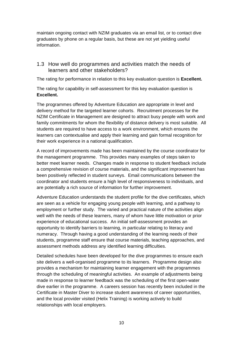maintain ongoing contact with NZIM graduates via an email list, or to contact dive graduates by phone on a regular basis, but these are not yet yielding useful information.

#### 1.3 How well do programmes and activities match the needs of learners and other stakeholders?

The rating for performance in relation to this key evaluation question is **Excellent.**

The rating for capability in self-assessment for this key evaluation question is **Excellent.**

The programmes offered by Adventure Education are appropriate in level and delivery method for the targeted learner cohorts. Recruitment processes for the NZIM Certificate in Management are designed to attract busy people with work and family commitments for whom the flexibility of distance delivery is most suitable. All students are required to have access to a work environment, which ensures the learners can contextualise and apply their learning and gain formal recognition for their work experience in a national qualification.

A record of improvements made has been maintained by the course coordinator for the management programme. This provides many examples of steps taken to better meet learner needs. Changes made in response to student feedback include a comprehensive revision of course materials, and the significant improvement has been positively reflected in student surveys. Email communications between the coordinator and students ensure a high level of responsiveness to individuals, and are potentially a rich source of information for further improvement.

Adventure Education understands the student profile for the dive certificates, which are seen as a vehicle for engaging young people with learning, and a pathway to employment or further study. The varied and practical nature of the activities align well with the needs of these learners, many of whom have little motivation or prior experience of educational success. An initial self-assessment provides an opportunity to identify barriers to learning, in particular relating to literacy and numeracy. Through having a good understanding of the learning needs of their students, programme staff ensure that course materials, teaching approaches, and assessment methods address any identified learning difficulties.

Detailed schedules have been developed for the dive programmes to ensure each site delivers a well-organised programme to its learners. Programme design also provides a mechanism for maintaining learner engagement with the programmes through the scheduling of meaningful activities. An example of adjustments being made in response to learner feedback was the scheduling of the first open-water dive earlier in the programme. A careers session has recently been included in the Certificate in Master Diver to increase student awareness of career opportunities, and the local provider visited (Helix Training) is working actively to build relationships with local employers.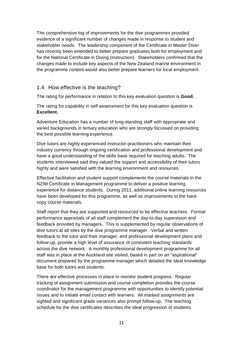The comprehensive log of improvements for the dive programmes provided evidence of a significant number of changes made in response to student and stakeholder needs. The leadership component of the Certificate in Master Diver has recently been extended to better prepare graduates both for employment and for the National Certificate in Diving (Instruction). Stakeholders confirmed that the changes made to include key aspects of the New Zealand marine environment in the programme content would also better prepare learners for local employment.

#### 1.4 How effective is the teaching?

The rating for performance in relation to this key evaluation question is **Good.**

The rating for capability in self-assessment for this key evaluation question is **Excellent.**

Adventure Education has a number of long-standing staff with appropriate and varied backgrounds in tertiary education who are strongly focussed on providing the best possible learning experience.

Dive tutors are highly experienced instructor-practitioners who maintain their industry currency through ongoing certification and professional development and have a good understanding of the skills base required for teaching adults. The students interviewed said they valued the support and accessibility of their tutors highly and were satisfied with the learning environment and resources.

Effective facilitation and student support complements the course materials in the NZIM Certificate in Management programme to deliver a positive learning experience for distance students. During 2011, additional online learning resources have been developed for this programme, as well as improvements to the hardcopy course materials.

Staff report that they are supported and resourced to be effective teachers. Formal performance appraisals of all staff complement the day-to-day supervision and feedback provided by managers. This is supplemented by regular observations of dive tutors at all sites by the dive programme manager. Verbal and written feedback to the tutor and their manager, and professional development plans and follow-up, provide a high level of assurance of consistent teaching standards across the dive network. A monthly professional development programme for all staff was in place at the Auckland site visited, based in part on an "aspirational" document prepared by the programme manager which detailed the ideal knowledge base for both tutors and students.

There are effective processes in place to monitor student progress. Regular tracking of assignment submission and course completion provides the course coordinator for the management programme with opportunities to identify potential issues and to initiate email contact with learners. All marked assignments are sighted and significant grade variances also prompt follow-up. The teaching schedule for the dive certificates describes the ideal progression of students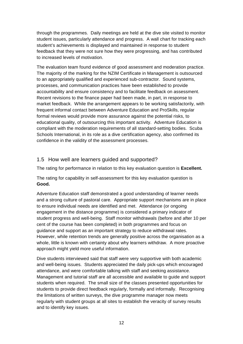through the programmes. Daily meetings are held at the dive site visited to monitor student issues, particularly attendance and progress. A wall chart for tracking each student's achievements is displayed and maintained in response to student feedback that they were not sure how they were progressing, and has contributed to increased levels of motivation.

The evaluation team found evidence of good assessment and moderation practice. The majority of the marking for the NZIM Certificate in Management is outsourced to an appropriately qualified and experienced sub-contractor. Sound systems, processes, and communication practices have been established to provide accountability and ensure consistency and to facilitate feedback on assessment. Recent revisions to the finance paper had been made, in part, in response to market feedback. While the arrangement appears to be working satisfactorily, with frequent informal contact between Adventure Education and ProSkills, regular formal reviews would provide more assurance against the potential risks, to educational quality, of outsourcing this important activity. Adventure Education is compliant with the moderation requirements of all standard-setting bodies. Scuba Schools International, in its role as a dive certification agency, also confirmed its confidence in the validity of the assessment processes.

#### 1.5 How well are learners guided and supported?

The rating for performance in relation to this key evaluation question is **Excellent.**

The rating for capability in self-assessment for this key evaluation question is **Good.** 

Adventure Education staff demonstrated a good understanding of learner needs and a strong culture of pastoral care. Appropriate support mechanisms are in place to ensure individual needs are identified and met. Attendance (or ongoing engagement in the distance programme) is considered a primary indicator of student progress and well-being. Staff monitor withdrawals (before and after 10 per cent of the course has been completed) in both programmes and focus on guidance and support as an important strategy to reduce withdrawal rates. However, while retention trends are generally positive across the organisation as a whole, little is known with certainty about why learners withdraw. A more proactive approach might yield more useful information.

Dive students interviewed said that staff were very supportive with both academic and well-being issues. Students appreciated the daily pick-ups which encouraged attendance, and were comfortable talking with staff and seeking assistance. Management and tutorial staff are all accessible and available to guide and support students when required. The small size of the classes presented opportunities for students to provide direct feedback regularly, formally and informally. Recognising the limitations of written surveys, the dive programme manager now meets regularly with student groups at all sites to establish the veracity of survey results and to identify key issues.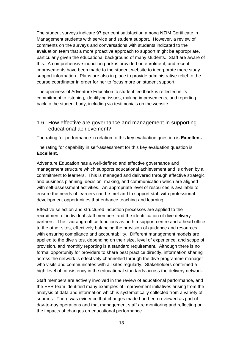The student surveys indicate 97 per cent satisfaction among NZIM Certificate in Management students with service and student support. However, a review of comments on the surveys and conversations with students indicated to the evaluation team that a more proactive approach to support might be appropriate, particularly given the educational background of many students. Staff are aware of this. A comprehensive induction pack is provided on enrolment, and recent improvements have been made to the student website to incorporate more study support information. Plans are also in place to provide administrative relief to the course coordinator in order for her to focus more on student support.

The openness of Adventure Education to student feedback is reflected in its commitment to listening, identifying issues, making improvements, and reporting back to the student body, including via testimonials on the website.

#### 1.6 How effective are governance and management in supporting educational achievement?

The rating for performance in relation to this key evaluation question is **Excellent.**

The rating for capability in self-assessment for this key evaluation question is **Excellent.**

Adventure Education has a well-defined and effective governance and management structure which supports educational achievement and is driven by a commitment to learners. This is managed and delivered through effective strategic and business planning, decision–making, and communication which are aligned with self-assessment activities. An appropriate level of resources is available to ensure the needs of learners can be met and to support staff with professional development opportunities that enhance teaching and learning.

Effective selection and structured induction processes are applied to the recruitment of individual staff members and the identification of dive delivery partners. The Tauranga office functions as both a support centre and a head office to the other sites, effectively balancing the provision of guidance and resources with ensuring compliance and accountability. Different management models are applied to the dive sites, depending on their size, level of experience, and scope of provision, and monthly reporting is a standard requirement. Although there is no formal opportunity for providers to share best practice directly, information sharing across the network is effectively channelled through the dive programme manager who visits and communicates with all sites regularly. Stakeholders confirmed a high level of consistency in the educational standards across the delivery network.

Staff members are actively involved in the review of educational performance, and the EER team identified many examples of improvement initiatives arising from the analysis of data and information which is systematically collected from a variety of sources. There was evidence that changes made had been reviewed as part of day-to-day operations and that management staff are monitoring and reflecting on the impacts of changes on educational performance.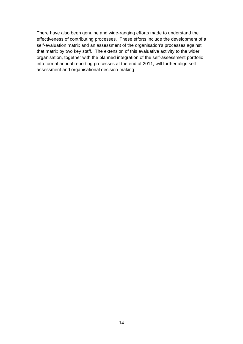There have also been genuine and wide-ranging efforts made to understand the effectiveness of contributing processes. These efforts include the development of a self-evaluation matrix and an assessment of the organisation's processes against that matrix by two key staff. The extension of this evaluative activity to the wider organisation, together with the planned integration of the self-assessment portfolio into formal annual reporting processes at the end of 2011, will further align selfassessment and organisational decision-making.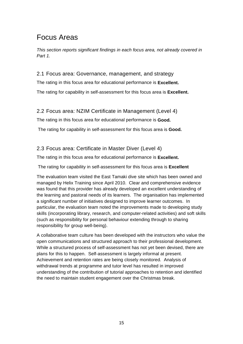### Focus Areas

This section reports significant findings in each focus area, not already covered in Part 1.

#### 2.1 Focus area: Governance, management, and strategy

The rating in this focus area for educational performance is **Excellent.** 

The rating for capability in self-assessment for this focus area is **Excellent.** 

#### 2.2 Focus area: NZIM Certificate in Management (Level 4)

The rating in this focus area for educational performance is **Good.** 

The rating for capability in self-assessment for this focus area is **Good.** 

#### 2.3 Focus area: Certificate in Master Diver (Level 4)

The rating in this focus area for educational performance is **Excellent.** 

The rating for capability in self-assessment for this focus area is **Excellent**

The evaluation team visited the East Tamaki dive site which has been owned and managed by Helix Training since April 2010. Clear and comprehensive evidence was found that this provider has already developed an excellent understanding of the learning and pastoral needs of its learners. The organisation has implemented a significant number of initiatives designed to improve learner outcomes. In particular, the evaluation team noted the improvements made to developing study skills (incorporating library, research, and computer-related activities) and soft skills (such as responsibility for personal behaviour extending through to sharing responsibility for group well-being).

A collaborative team culture has been developed with the instructors who value the open communications and structured approach to their professional development. While a structured process of self-assessment has not yet been devised, there are plans for this to happen. Self-assessment is largely informal at present. Achievement and retention rates are being closely monitored. Analysis of withdrawal trends at programme and tutor level has resulted in improved understanding of the contribution of tutorial approaches to retention and identified the need to maintain student engagement over the Christmas break.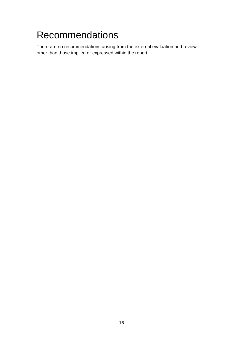## Recommendations

There are no recommendations arising from the external evaluation and review, other than those implied or expressed within the report.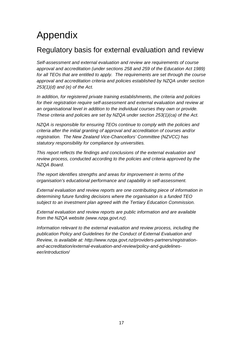## Appendix

### Regulatory basis for external evaluation and review

Self-assessment and external evaluation and review are requirements of course approval and accreditation (under sections 258 and 259 of the Education Act 1989) for all TEOs that are entitled to apply. The requirements are set through the course approval and accreditation criteria and policies established by NZQA under section  $253(1)(d)$  and (e) of the Act.

In addition, for registered private training establishments, the criteria and policies for their registration require self-assessment and external evaluation and review at an organisational level in addition to the individual courses they own or provide. These criteria and policies are set by NZQA under section 253(1)(ca) of the Act.

NZQA is responsible for ensuring TEOs continue to comply with the policies and criteria after the initial granting of approval and accreditation of courses and/or registration. The New Zealand Vice-Chancellors' Committee (NZVCC) has statutory responsibility for compliance by universities.

This report reflects the findings and conclusions of the external evaluation and review process, conducted according to the policies and criteria approved by the NZQA Board.

The report identifies strengths and areas for improvement in terms of the organisation's educational performance and capability in self-assessment.

External evaluation and review reports are one contributing piece of information in determining future funding decisions where the organisation is a funded TEO subject to an investment plan agreed with the Tertiary Education Commission.

External evaluation and review reports are public information and are available from the NZQA website (www.nzqa.govt.nz).

Information relevant to the external evaluation and review process, including the publication Policy and Guidelines for the Conduct of External Evaluation and Review, is available at: http://www.nzqa.govt.nz/providers-partners/registrationand-accreditation/external-evaluation-and-review/policy-and-guidelineseer/introduction/